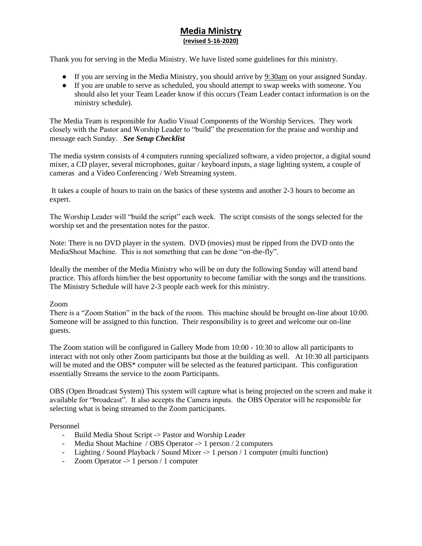## **Media Ministry (revised 5-16-2020)**

Thank you for serving in the Media Ministry. We have listed some guidelines for this ministry.

- If you are serving in the Media Ministry, you should arrive by 9:30am on your assigned Sunday.
- If you are unable to serve as scheduled, you should attempt to swap weeks with someone. You should also let your Team Leader know if this occurs (Team Leader contact information is on the ministry schedule).

The Media Team is responsible for Audio Visual Components of the Worship Services. They work closely with the Pastor and Worship Leader to "build" the presentation for the praise and worship and message each Sunday. *See Setup Checklist*

The media system consists of 4 computers running specialized software, a video projector, a digital sound mixer, a CD player, several microphones, guitar / keyboard inputs, a stage lighting system, a couple of cameras and a Video Conferencing / Web Streaming system.

It takes a couple of hours to train on the basics of these systems and another 2-3 hours to become an expert.

The Worship Leader will "build the script" each week. The script consists of the songs selected for the worship set and the presentation notes for the pastor.

Note: There is no DVD player in the system. DVD (movies) must be ripped from the DVD onto the MediaShout Machine. This is not something that can be done "on-the-fly".

Ideally the member of the Media Ministry who will be on duty the following Sunday will attend band practice. This affords him/her the best opportunity to become familiar with the songs and the transitions. The Ministry Schedule will have 2-3 people each week for this ministry.

## Zoom

There is a "Zoom Station" in the back of the room. This machine should be brought on-line about 10:00. Someone will be assigned to this function. Their responsibility is to greet and welcome our on-line guests.

The Zoom station will be configured in Gallery Mode from 10:00 - 10:30 to allow all participants to interact with not only other Zoom participants but those at the building as well. At 10:30 all participants will be muted and the OBS<sup>\*</sup> computer will be selected as the featured participant. This configuration essentially Streams the service to the zoom Participants.

OBS (Open Broadcast System) This system will capture what is being projected on the screen and make it available for "broadcast". It also accepts the Camera inputs. the OBS Operator will be responsible for selecting what is being streamed to the Zoom participants.

## Personnel

- Build Media Shout Script -> Pastor and Worship Leader
- Media Shout Machine / OBS Operator -> 1 person / 2 computers
- Lighting / Sound Playback / Sound Mixer -> 1 person / 1 computer (multi function)
- Zoom Operator -> 1 person / 1 computer